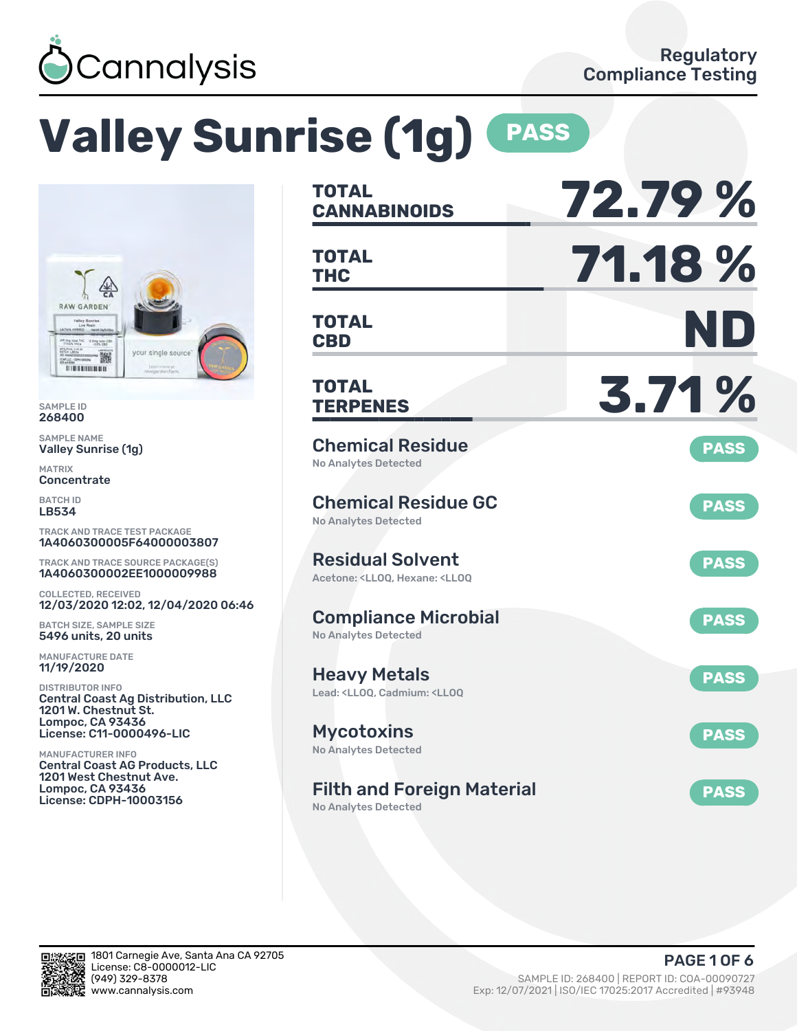

# **Valley Sunrise (1g) PASS**

No Analytes Detected



SAMPLE ID 268400

SAMPLE NAME Valley Sunrise (1g)

MATRIX Concentrate

BATCH ID LB534

TRACK AND TRACE TEST PACKAGE 1A4060300005F64000003807

TRACK AND TRACE SOURCE PACKAGE(S) 1A4060300002EE1000009988

COLLECTED, RECEIVED 12/03/2020 12:02, 12/04/2020 06:46

BATCH SIZE, SAMPLE SIZE 5496 units, 20 units

MANUFACTURE DATE 11/19/2020

DISTRIBUTOR INFO Central Coast Ag Distribution, LLC 1201 W. Chestnut St. Lompoc, CA 93436 License: C11-0000496-LIC

MANUFACTURER INFO Central Coast AG Products, LLC 1201 West Chestnut Ave. Lompoc, CA 93436 License: CDPH-10003156

| <b>TOTAL</b><br><b>CANNABINOIDS</b>                                                                | 72.79%      |
|----------------------------------------------------------------------------------------------------|-------------|
| <b>TOTAL</b><br><b>THC</b>                                                                         | 71.18%      |
| <b>TOTAL</b><br><b>CBD</b>                                                                         | ND          |
| <b>TOTAL</b><br><b>TERPENES</b>                                                                    | 3.71%       |
| <b>Chemical Residue</b><br><b>No Analytes Detected</b>                                             | <b>PASS</b> |
| <b>Chemical Residue GC</b><br><b>No Analytes Detected</b>                                          | <b>PASS</b> |
| <b>Residual Solvent</b><br>Acetone: <ll00. <ll00<="" hexane:="" td=""><td><b>PASS</b></td></ll00.> | <b>PASS</b> |
| <b>Compliance Microbial</b><br><b>No Analytes Detected</b>                                         | <b>PASS</b> |
| <b>Heavy Metals</b><br>Lead: <ll00, <ll00<="" cadmium:="" td=""><td><b>PASS</b></td></ll00,>       | <b>PASS</b> |
| <b>Mycotoxins</b><br>No Analytes Detected                                                          | <b>PASS</b> |
| <b>Filth and Foreign Material</b>                                                                  | <b>PASS</b> |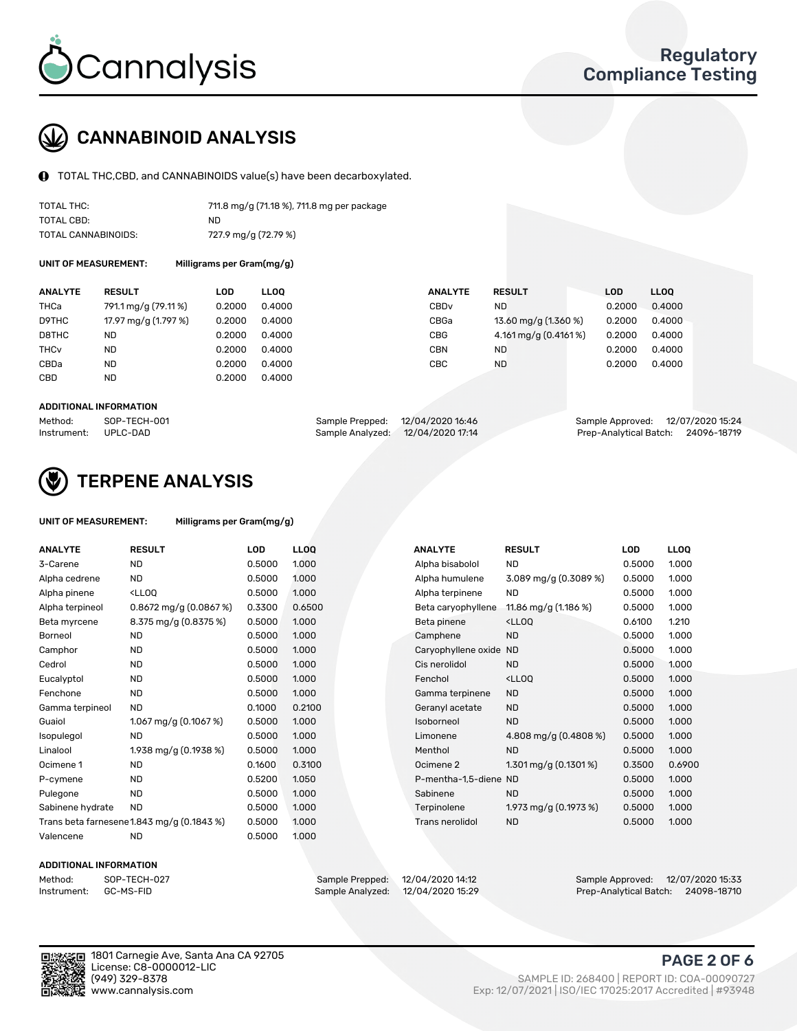

## CANNABINOID ANALYSIS

TOTAL THC,CBD, and CANNABINOIDS value(s) have been decarboxylated.

| TOTAL THC:          | 711.8 mg/g (71.18 %), 711.8 mg per package |
|---------------------|--------------------------------------------|
| TOTAL CBD:          | ND                                         |
| TOTAL CANNABINOIDS: | 727.9 mg/g (72.79 %)                       |

UNIT OF MEASUREMENT: Milligrams per Gram(mg/g)

| <b>ANALYTE</b>         | <b>RESULT</b>        | LOD    | <b>LLOO</b> | <b>ANALYTE</b>   | <b>RESULT</b>         | <b>LOD</b> | <b>LLOO</b> |
|------------------------|----------------------|--------|-------------|------------------|-----------------------|------------|-------------|
| THCa                   | 791.1 mg/g (79.11%)  | 0.2000 | 0.4000      | CBD <sub>v</sub> | ND                    | 0.2000     | 0.4000      |
| D9THC                  | 17.97 mg/g (1.797 %) | 0.2000 | 0.4000      | CBGa             | 13.60 mg/g (1.360 %)  | 0.2000     | 0.4000      |
| D8THC                  | <b>ND</b>            | 0.2000 | 0.4000      | <b>CBG</b>       | 4.161 mg/g (0.4161 %) | 0.2000     | 0.4000      |
| <b>THC<sub>v</sub></b> | <b>ND</b>            | 0.2000 | 0.4000      | <b>CBN</b>       | ND                    | 0.2000     | 0.4000      |
| CBDa                   | <b>ND</b>            | 0.2000 | 0.4000      | CBC              | <b>ND</b>             | 0.2000     | 0.4000      |
| CBD                    | <b>ND</b>            | 0.2000 | 0.4000      |                  |                       |            |             |
|                        |                      |        |             |                  |                       |            |             |

#### ADDITIONAL INFORMATION

| Method:              | SOP-TECH-001 | Sample Prepped: 12/04/2020 16:46  | Sample Approved: 12/07/2020 15:24  |  |
|----------------------|--------------|-----------------------------------|------------------------------------|--|
| Instrument: UPLC-DAD |              | Sample Analyzed: 12/04/2020 17:14 | Prep-Analytical Batch: 24096-18719 |  |



## TERPENE ANALYSIS

| UNIT OF MEASUREMENT: | Milligrams per Gram(mg/g) |
|----------------------|---------------------------|
|----------------------|---------------------------|

| <b>ANALYTE</b>   | <b>RESULT</b>                                                                                                       | <b>LOD</b> | <b>LLOQ</b> | <b>ANALYTE</b>         | <b>RESULT</b>                                      | <b>LOD</b> | <b>LLOQ</b> |
|------------------|---------------------------------------------------------------------------------------------------------------------|------------|-------------|------------------------|----------------------------------------------------|------------|-------------|
| 3-Carene         | <b>ND</b>                                                                                                           | 0.5000     | 1.000       | Alpha bisabolol        | <b>ND</b>                                          | 0.5000     | 1.000       |
| Alpha cedrene    | <b>ND</b>                                                                                                           | 0.5000     | 1.000       | Alpha humulene         | 3.089 mg/g (0.3089 %)                              | 0.5000     | 1.000       |
| Alpha pinene     | <lloq< td=""><td>0.5000</td><td>1.000</td><td>Alpha terpinene</td><td>ND.</td><td>0.5000</td><td>1.000</td></lloq<> | 0.5000     | 1.000       | Alpha terpinene        | ND.                                                | 0.5000     | 1.000       |
| Alpha terpineol  | $0.8672$ mg/g $(0.0867%)$                                                                                           | 0.3300     | 0.6500      | Beta caryophyllene     | 11.86 mg/g $(1.186\%)$                             | 0.5000     | 1.000       |
| Beta myrcene     | 8.375 mg/g (0.8375 %)                                                                                               | 0.5000     | 1.000       | Beta pinene            | <lloq< td=""><td>0.6100</td><td>1.210</td></lloq<> | 0.6100     | 1.210       |
| Borneol          | <b>ND</b>                                                                                                           | 0.5000     | 1.000       | Camphene               | <b>ND</b>                                          | 0.5000     | 1.000       |
| Camphor          | <b>ND</b>                                                                                                           | 0.5000     | 1.000       | Caryophyllene oxide ND |                                                    | 0.5000     | 1.000       |
| Cedrol           | <b>ND</b>                                                                                                           | 0.5000     | 1.000       | Cis nerolidol          | <b>ND</b>                                          | 0.5000     | 1.000       |
| Eucalyptol       | <b>ND</b>                                                                                                           | 0.5000     | 1.000       | Fenchol                | <lloq< td=""><td>0.5000</td><td>1.000</td></lloq<> | 0.5000     | 1.000       |
| Fenchone         | <b>ND</b>                                                                                                           | 0.5000     | 1.000       | Gamma terpinene        | <b>ND</b>                                          | 0.5000     | 1.000       |
| Gamma terpineol  | <b>ND</b>                                                                                                           | 0.1000     | 0.2100      | Geranyl acetate        | <b>ND</b>                                          | 0.5000     | 1.000       |
| Guaiol           | 1.067 mg/g $(0.1067%)$                                                                                              | 0.5000     | 1.000       | Isoborneol             | <b>ND</b>                                          | 0.5000     | 1.000       |
| Isopulegol       | <b>ND</b>                                                                                                           | 0.5000     | 1.000       | Limonene               | 4.808 mg/g (0.4808 %)                              | 0.5000     | 1.000       |
| Linalool         | 1.938 mg/g (0.1938 %)                                                                                               | 0.5000     | 1.000       | Menthol                | <b>ND</b>                                          | 0.5000     | 1.000       |
| Ocimene 1        | <b>ND</b>                                                                                                           | 0.1600     | 0.3100      | Ocimene 2              | 1.301 mg/g $(0.1301\%)$                            | 0.3500     | 0.6900      |
| P-cymene         | <b>ND</b>                                                                                                           | 0.5200     | 1.050       | P-mentha-1,5-diene ND  |                                                    | 0.5000     | 1.000       |
| Pulegone         | <b>ND</b>                                                                                                           | 0.5000     | 1.000       | Sabinene               | <b>ND</b>                                          | 0.5000     | 1.000       |
| Sabinene hydrate | <b>ND</b>                                                                                                           | 0.5000     | 1.000       | Terpinolene            | 1.973 mg/g (0.1973 %)                              | 0.5000     | 1.000       |
|                  | Trans beta farnesene1.843 mg/g (0.1843 %)                                                                           | 0.5000     | 1.000       | <b>Trans nerolidol</b> | <b>ND</b>                                          | 0.5000     | 1.000       |
| Valencene        | <b>ND</b>                                                                                                           | 0.5000     | 1.000       |                        |                                                    |            |             |

#### ADDITIONAL INFORMATION

| Method:     | SOP-TECH  |
|-------------|-----------|
| Instrument: | GC-MS-FID |

Method: SOP-TECH-027 Sample Prepped: 12/04/2020 14:12 Sample Approved: 12/07/2020 15:33 Prep-Analytical Batch: 24098-18710



1801 Carnegie Ave, Santa Ana CA 92705 License: C8-0000012-LIC<br>(949) 329-8378

## PAGE 2 OF 6

(949) 329-8378 SAMPLE ID: 268400 | REPORT ID: COA-00090727 Exp: 12/07/2021 | ISO/IEC 17025:2017 Accredited | #93948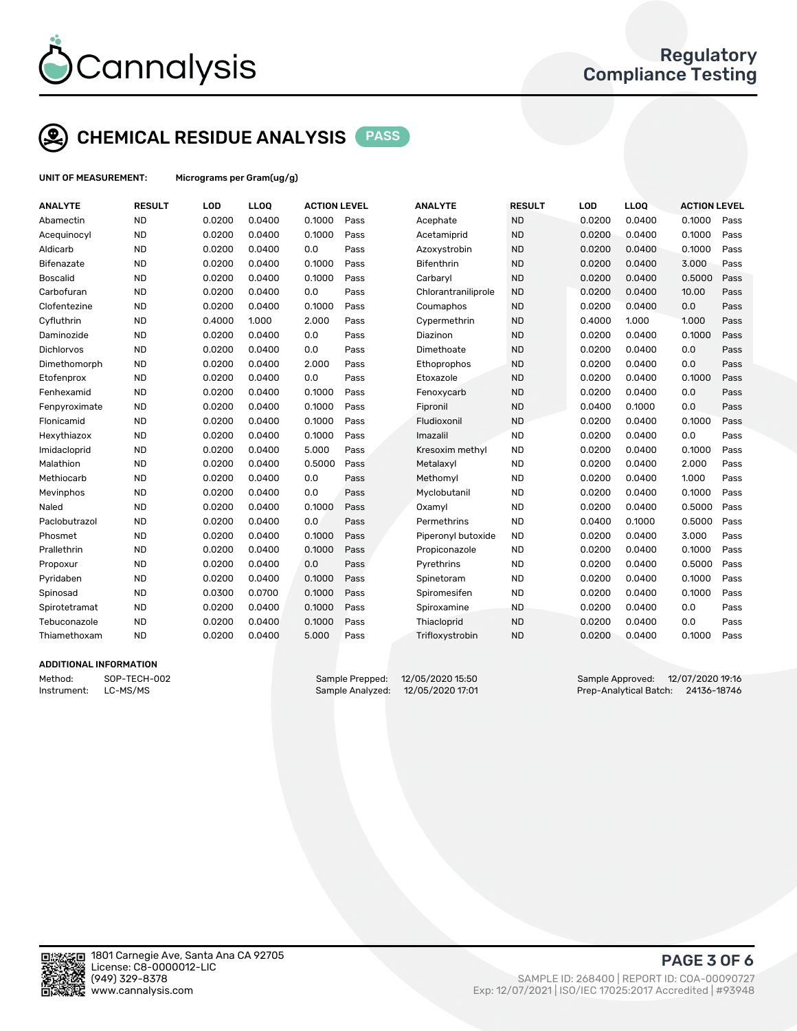

## CHEMICAL RESIDUE ANALYSIS PASS

UNIT OF MEASUREMENT: Micrograms per Gram(ug/g)

| <b>ANALYTE</b>    | <b>RESULT</b> | LOD    | LLOQ   | <b>ACTION LEVEL</b> |      | <b>ANALYTE</b>      | <b>RESULT</b> | LOD    | <b>LLOQ</b> | <b>ACTION LEVEL</b> |      |
|-------------------|---------------|--------|--------|---------------------|------|---------------------|---------------|--------|-------------|---------------------|------|
| Abamectin         | <b>ND</b>     | 0.0200 | 0.0400 | 0.1000              | Pass | Acephate            | <b>ND</b>     | 0.0200 | 0.0400      | 0.1000              | Pass |
| Acequinocyl       | <b>ND</b>     | 0.0200 | 0.0400 | 0.1000              | Pass | Acetamiprid         | <b>ND</b>     | 0.0200 | 0.0400      | 0.1000              | Pass |
| Aldicarb          | <b>ND</b>     | 0.0200 | 0.0400 | 0.0                 | Pass | Azoxystrobin        | <b>ND</b>     | 0.0200 | 0.0400      | 0.1000              | Pass |
| Bifenazate        | <b>ND</b>     | 0.0200 | 0.0400 | 0.1000              | Pass | <b>Bifenthrin</b>   | <b>ND</b>     | 0.0200 | 0.0400      | 3.000               | Pass |
| <b>Boscalid</b>   | <b>ND</b>     | 0.0200 | 0.0400 | 0.1000              | Pass | Carbaryl            | <b>ND</b>     | 0.0200 | 0.0400      | 0.5000              | Pass |
| Carbofuran        | <b>ND</b>     | 0.0200 | 0.0400 | 0.0                 | Pass | Chlorantraniliprole | <b>ND</b>     | 0.0200 | 0.0400      | 10.00               | Pass |
| Clofentezine      | <b>ND</b>     | 0.0200 | 0.0400 | 0.1000              | Pass | Coumaphos           | <b>ND</b>     | 0.0200 | 0.0400      | 0.0                 | Pass |
| Cyfluthrin        | <b>ND</b>     | 0.4000 | 1.000  | 2.000               | Pass | Cypermethrin        | <b>ND</b>     | 0.4000 | 1.000       | 1.000               | Pass |
| Daminozide        | <b>ND</b>     | 0.0200 | 0.0400 | 0.0                 | Pass | Diazinon            | <b>ND</b>     | 0.0200 | 0.0400      | 0.1000              | Pass |
| <b>Dichlorvos</b> | <b>ND</b>     | 0.0200 | 0.0400 | 0.0                 | Pass | Dimethoate          | <b>ND</b>     | 0.0200 | 0.0400      | 0.0                 | Pass |
| Dimethomorph      | <b>ND</b>     | 0.0200 | 0.0400 | 2.000               | Pass | Ethoprophos         | <b>ND</b>     | 0.0200 | 0.0400      | 0.0                 | Pass |
| Etofenprox        | <b>ND</b>     | 0.0200 | 0.0400 | 0.0                 | Pass | Etoxazole           | <b>ND</b>     | 0.0200 | 0.0400      | 0.1000              | Pass |
| Fenhexamid        | <b>ND</b>     | 0.0200 | 0.0400 | 0.1000              | Pass | Fenoxycarb          | <b>ND</b>     | 0.0200 | 0.0400      | 0.0                 | Pass |
| Fenpyroximate     | <b>ND</b>     | 0.0200 | 0.0400 | 0.1000              | Pass | Fipronil            | <b>ND</b>     | 0.0400 | 0.1000      | 0.0                 | Pass |
| Flonicamid        | <b>ND</b>     | 0.0200 | 0.0400 | 0.1000              | Pass | Fludioxonil         | <b>ND</b>     | 0.0200 | 0.0400      | 0.1000              | Pass |
| Hexythiazox       | <b>ND</b>     | 0.0200 | 0.0400 | 0.1000              | Pass | Imazalil            | <b>ND</b>     | 0.0200 | 0.0400      | 0.0                 | Pass |
| Imidacloprid      | <b>ND</b>     | 0.0200 | 0.0400 | 5.000               | Pass | Kresoxim methyl     | <b>ND</b>     | 0.0200 | 0.0400      | 0.1000              | Pass |
| Malathion         | <b>ND</b>     | 0.0200 | 0.0400 | 0.5000              | Pass | Metalaxyl           | <b>ND</b>     | 0.0200 | 0.0400      | 2.000               | Pass |
| Methiocarb        | <b>ND</b>     | 0.0200 | 0.0400 | 0.0                 | Pass | Methomyl            | <b>ND</b>     | 0.0200 | 0.0400      | 1.000               | Pass |
| Mevinphos         | <b>ND</b>     | 0.0200 | 0.0400 | 0.0                 | Pass | Myclobutanil        | <b>ND</b>     | 0.0200 | 0.0400      | 0.1000              | Pass |
| Naled             | <b>ND</b>     | 0.0200 | 0.0400 | 0.1000              | Pass | Oxamyl              | <b>ND</b>     | 0.0200 | 0.0400      | 0.5000              | Pass |
| Paclobutrazol     | <b>ND</b>     | 0.0200 | 0.0400 | 0.0                 | Pass | Permethrins         | <b>ND</b>     | 0.0400 | 0.1000      | 0.5000              | Pass |
| Phosmet           | <b>ND</b>     | 0.0200 | 0.0400 | 0.1000              | Pass | Piperonyl butoxide  | <b>ND</b>     | 0.0200 | 0.0400      | 3.000               | Pass |
| Prallethrin       | <b>ND</b>     | 0.0200 | 0.0400 | 0.1000              | Pass | Propiconazole       | <b>ND</b>     | 0.0200 | 0.0400      | 0.1000              | Pass |
| Propoxur          | <b>ND</b>     | 0.0200 | 0.0400 | 0.0                 | Pass | Pyrethrins          | <b>ND</b>     | 0.0200 | 0.0400      | 0.5000              | Pass |
| Pyridaben         | <b>ND</b>     | 0.0200 | 0.0400 | 0.1000              | Pass | Spinetoram          | <b>ND</b>     | 0.0200 | 0.0400      | 0.1000              | Pass |
| Spinosad          | <b>ND</b>     | 0.0300 | 0.0700 | 0.1000              | Pass | Spiromesifen        | <b>ND</b>     | 0.0200 | 0.0400      | 0.1000              | Pass |
| Spirotetramat     | <b>ND</b>     | 0.0200 | 0.0400 | 0.1000              | Pass | Spiroxamine         | <b>ND</b>     | 0.0200 | 0.0400      | 0.0                 | Pass |
| Tebuconazole      | <b>ND</b>     | 0.0200 | 0.0400 | 0.1000              | Pass | Thiacloprid         | <b>ND</b>     | 0.0200 | 0.0400      | 0.0                 | Pass |
| Thiamethoxam      | <b>ND</b>     | 0.0200 | 0.0400 | 5.000               | Pass | Trifloxystrobin     | <b>ND</b>     | 0.0200 | 0.0400      | 0.1000              | Pass |
|                   |               |        |        |                     |      |                     |               |        |             |                     |      |

#### ADDITIONAL INFORMATION

Instrument: LC-MS/MS Sample Analyzed: 12/05/2020 17:01 Prep-Analytical Batch: 24136-18746

Method: SOP-TECH-002 Sample Prepped: 12/05/2020 15:50 Sample Approved: 12/07/2020 19:16



PAGE 3 OF 6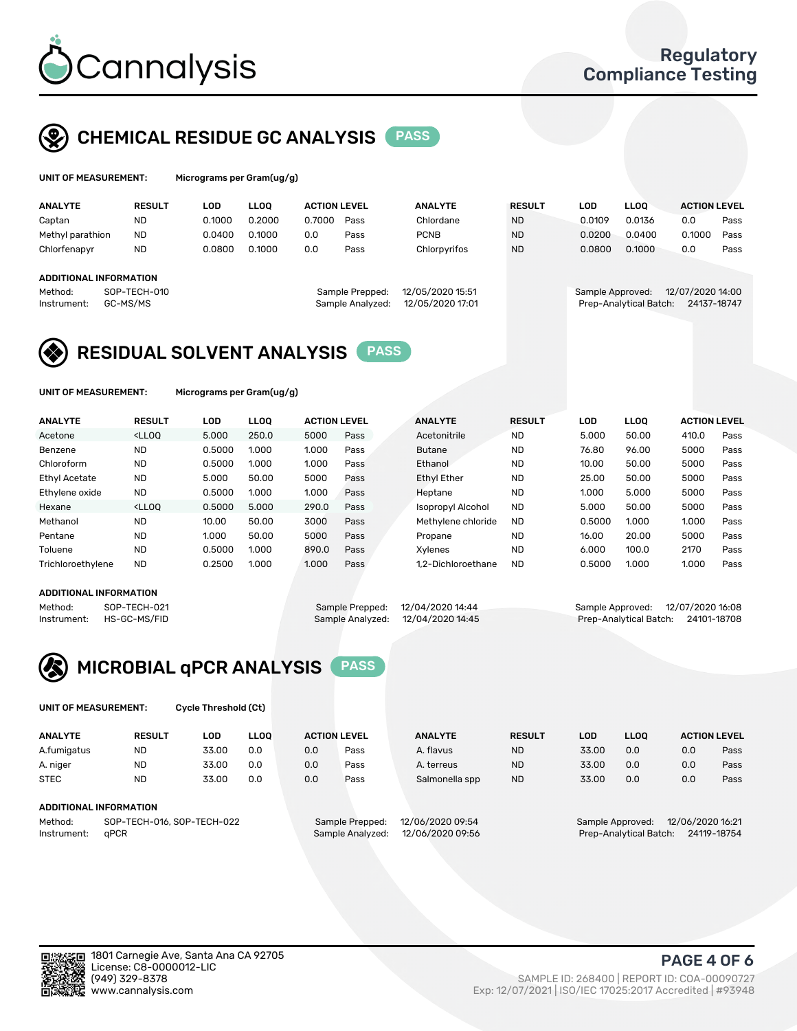

## CHEMICAL RESIDUE GC ANALYSIS PASS

| UNIT OF MEASUREMENT: | Micro |
|----------------------|-------|
|----------------------|-------|

ograms per Gram(ug/g)

| <b>ANALYTE</b>         | <b>RESULT</b>            | LOD    | <b>LLOO</b> | <b>ACTION LEVEL</b> |                                     | <b>ANALYTE</b>                       | <b>RESULT</b> | <b>LOD</b>       | <b>LLOO</b>            | <b>ACTION LEVEL</b>             |      |
|------------------------|--------------------------|--------|-------------|---------------------|-------------------------------------|--------------------------------------|---------------|------------------|------------------------|---------------------------------|------|
| Captan                 | <b>ND</b>                | 0.1000 | 0.2000      | 0.7000              | Pass                                | Chlordane                            | <b>ND</b>     | 0.0109           | 0.0136                 | 0.0                             | Pass |
| Methyl parathion       | <b>ND</b>                | 0.0400 | 0.1000      | 0.0                 | Pass                                | <b>PCNB</b>                          | <b>ND</b>     | 0.0200           | 0.0400                 | 0.1000                          | Pass |
| Chlorfenapyr           | <b>ND</b>                | 0.0800 | 0.1000      | 0.0                 | Pass                                | Chlorpyrifos                         | <b>ND</b>     | 0.0800           | 0.1000                 | 0.0                             | Pass |
| ADDITIONAL INFORMATION |                          |        |             |                     |                                     |                                      |               |                  |                        |                                 |      |
| Method:<br>Instrument: | SOP-TECH-010<br>GC-MS/MS |        |             |                     | Sample Prepped:<br>Sample Analyzed: | 12/05/2020 15:51<br>12/05/2020 17:01 |               | Sample Approved: | Prep-Analytical Batch: | 12/07/2020 14:00<br>24137-18747 |      |

## RESIDUAL SOLVENT ANALYSIS PASS

UNIT OF MEASUREMENT: Micrograms per Gram(ug/g)

| <b>ANALYTE</b>    | <b>RESULT</b>                                                                                                                                                                          | <b>LOD</b> | <b>LLOO</b> | <b>ACTION LEVEL</b> |      | <b>ANALYTE</b>           | <b>RESULT</b> | LOD    | <b>LLOO</b> | <b>ACTION LEVEL</b> |      |
|-------------------|----------------------------------------------------------------------------------------------------------------------------------------------------------------------------------------|------------|-------------|---------------------|------|--------------------------|---------------|--------|-------------|---------------------|------|
| Acetone           | <lloo< td=""><td>5.000</td><td>250.0</td><td>5000</td><td>Pass</td><td>Acetonitrile</td><td><b>ND</b></td><td>5.000</td><td>50.00</td><td>410.0</td><td>Pass</td></lloo<>              | 5.000      | 250.0       | 5000                | Pass | Acetonitrile             | <b>ND</b>     | 5.000  | 50.00       | 410.0               | Pass |
| Benzene           | <b>ND</b>                                                                                                                                                                              | 0.5000     | 1.000       | 1.000               | Pass | <b>Butane</b>            | <b>ND</b>     | 76.80  | 96.00       | 5000                | Pass |
| Chloroform        | <b>ND</b>                                                                                                                                                                              | 0.5000     | 1.000       | 1.000               | Pass | Ethanol                  | <b>ND</b>     | 10.00  | 50.00       | 5000                | Pass |
| Ethyl Acetate     | <b>ND</b>                                                                                                                                                                              | 5.000      | 50.00       | 5000                | Pass | <b>Ethyl Ether</b>       | <b>ND</b>     | 25.00  | 50.00       | 5000                | Pass |
| Ethylene oxide    | <b>ND</b>                                                                                                                                                                              | 0.5000     | 1.000       | 1.000               | Pass | Heptane                  | <b>ND</b>     | 1.000  | 5.000       | 5000                | Pass |
| Hexane            | <lloo< td=""><td>0.5000</td><td>5.000</td><td>290.0</td><td>Pass</td><td><b>Isopropyl Alcohol</b></td><td><b>ND</b></td><td>5.000</td><td>50.00</td><td>5000</td><td>Pass</td></lloo<> | 0.5000     | 5.000       | 290.0               | Pass | <b>Isopropyl Alcohol</b> | <b>ND</b>     | 5.000  | 50.00       | 5000                | Pass |
| Methanol          | <b>ND</b>                                                                                                                                                                              | 10.00      | 50.00       | 3000                | Pass | Methylene chloride       | <b>ND</b>     | 0.5000 | 1.000       | 1.000               | Pass |
| Pentane           | <b>ND</b>                                                                                                                                                                              | 1.000      | 50.00       | 5000                | Pass | Propane                  | <b>ND</b>     | 16.00  | 20.00       | 5000                | Pass |
| Toluene           | <b>ND</b>                                                                                                                                                                              | 0.5000     | 1.000       | 890.0               | Pass | Xvlenes                  | <b>ND</b>     | 6.000  | 100.0       | 2170                | Pass |
| Trichloroethylene | <b>ND</b>                                                                                                                                                                              | 0.2500     | 1.000       | 1.000               | Pass | 1.2-Dichloroethane       | <b>ND</b>     | 0.5000 | 1.000       | 1.000               | Pass |

#### ADDITIONAL INFORMATION

Method: SOP-TECH-021 Sample Prepped: 12/04/2020 14:44 Sample Approved: 12/07/2020 16:08<br>Instrument: HS-GC-MS/FID Sample Analyzed: 12/04/2020 14:45 Prep-Analytical Batch: 24101-18708 Prep-Analytical Batch: 24101-18708



UNIT OF MEASUREMENT: Cycle Threshold (Ct)

| <b>ANALYTE</b>                        | <b>RESULT</b>          | LOD   | <b>LLOO</b> |                 | <b>ACTION LEVEL</b> | <b>ANALYTE</b> | <b>RESULT</b> | <b>LOD</b>       | <b>LLOO</b>      |     | <b>ACTION LEVEL</b> |  |
|---------------------------------------|------------------------|-------|-------------|-----------------|---------------------|----------------|---------------|------------------|------------------|-----|---------------------|--|
| A.fumigatus                           | <b>ND</b>              | 33.00 | 0.0         | 0.0             | Pass                | A. flavus      | <b>ND</b>     | 33.00            | 0.0              | 0.0 | Pass                |  |
| A. niger                              | <b>ND</b>              | 33.00 | 0.0         | 0.0             | Pass                | A. terreus     | <b>ND</b>     | 33.00            | 0.0              | 0.0 | Pass                |  |
| <b>STEC</b>                           | <b>ND</b>              | 33.00 | 0.0         | 0.0             | Pass                | Salmonella spp | <b>ND</b>     | 33.00            | 0.0              | 0.0 | Pass                |  |
|                                       | ADDITIONAL INFORMATION |       |             |                 |                     |                |               |                  |                  |     |                     |  |
| SOP-TECH-016, SOP-TECH-022<br>Method: |                        |       |             | Sample Prepped: | 12/06/2020 09:54    |                |               | Sample Approved: | 12/06/2020 16:21 |     |                     |  |

Instrument: qPCR Sample Analyzed: 12/06/2020 09:56 Prep-Analytical Batch: 24119-18754

PAGE 4 OF 6

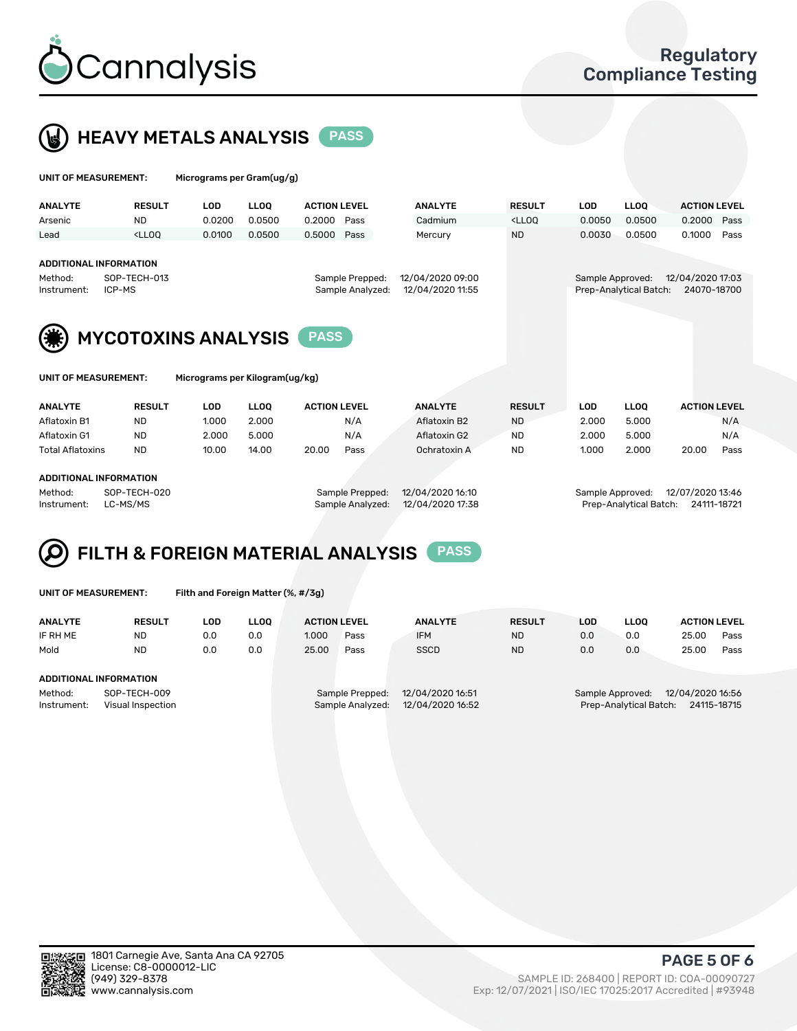



| UNIT OF MEASUREMENT:                      |                                                                                                                                                                     | Micrograms per Gram(ug/g)      |                 |                     |                                      |                                                                             |                                       |                   |                     |  |  |
|-------------------------------------------|---------------------------------------------------------------------------------------------------------------------------------------------------------------------|--------------------------------|-----------------|---------------------|--------------------------------------|-----------------------------------------------------------------------------|---------------------------------------|-------------------|---------------------|--|--|
| <b>ANALYTE</b>                            | <b>RESULT</b>                                                                                                                                                       | <b>LOD</b>                     | <b>LLOO</b>     | <b>ACTION LEVEL</b> | <b>ANALYTE</b>                       | <b>RESULT</b>                                                               | <b>LOD</b>                            | LLOO <sup>1</sup> | <b>ACTION LEVEL</b> |  |  |
| Arsenic                                   | <b>ND</b>                                                                                                                                                           | 0.0200                         | 0.0500          | 0.2000<br>Pass      | Cadmium                              | <lloq< td=""><td>0.0050</td><td>0.0500</td><td>0.2000<br/>Pass</td></lloq<> | 0.0050                                | 0.0500            | 0.2000<br>Pass      |  |  |
| Lead                                      | <lloo< th=""><th>0.0100</th><th>0.0500</th><th>0.5000<br/>Pass</th><th>Mercury</th><th><b>ND</b></th><th>0.0030</th><th>0.0500</th><th>0.1000<br/>Pass</th></lloo<> | 0.0100                         | 0.0500          | 0.5000<br>Pass      | Mercury                              | <b>ND</b>                                                                   | 0.0030                                | 0.0500            | 0.1000<br>Pass      |  |  |
|                                           |                                                                                                                                                                     |                                |                 |                     |                                      |                                                                             |                                       |                   |                     |  |  |
| <b>ADDITIONAL INFORMATION</b>             |                                                                                                                                                                     |                                |                 |                     |                                      |                                                                             |                                       |                   |                     |  |  |
| SOP-TECH-013<br>Method:                   |                                                                                                                                                                     |                                | Sample Prepped: |                     | 12/04/2020 17:03<br>Sample Approved: |                                                                             |                                       |                   |                     |  |  |
| ICP-MS<br>Instrument:                     |                                                                                                                                                                     |                                |                 | Sample Analyzed:    | 12/04/2020 11:55                     |                                                                             | Prep-Analytical Batch:<br>24070-18700 |                   |                     |  |  |
|                                           |                                                                                                                                                                     |                                |                 |                     |                                      |                                                                             |                                       |                   |                     |  |  |
| <b>MYCOTOXINS ANALYSIS</b><br><b>PASS</b> |                                                                                                                                                                     |                                |                 |                     |                                      |                                                                             |                                       |                   |                     |  |  |
| UNIT OF MEASUREMENT:                      |                                                                                                                                                                     | Micrograms per Kilogram(ug/kg) |                 |                     |                                      |                                                                             |                                       |                   |                     |  |  |
| <b>ANALYTE</b>                            | <b>RESULT</b>                                                                                                                                                       | <b>LOD</b>                     | <b>LLOO</b>     | <b>ACTION LEVEL</b> | <b>ANALYTE</b>                       | <b>RESULT</b>                                                               | <b>LOD</b>                            | <b>LLOO</b>       | <b>ACTION LEVEL</b> |  |  |
| Aflatoxin B1                              | <b>ND</b>                                                                                                                                                           | 1.000                          | 2.000           | N/A                 | Aflatoxin B2                         | <b>ND</b>                                                                   | 2.000                                 | 5.000             | N/A                 |  |  |

Aflatoxin G1 ND 2.000 5.000 N/A Aflatoxin G2 ND 2.000 5.000 N/A Total Aflatoxins ND 10.00 14.00 20.00 Pass Ochratoxin A ND 1.000 2.000 20.00 Pass

#### ADDITIONAL INFORMATION

Method: SOP-TECH-020 Sample Prepped: 12/04/2020 16:10 Sample Approved: 12/07/2020 13:46 Instrument: LC-MS/MS Sample Analyzed: 12/04/2020 17:38 Prep-Analytical Batch: 24111-18721

# FILTH & FOREIGN MATERIAL ANALYSIS PASS

UNIT OF MEASUREMENT: Filth and Foreign Matter (%, #/3g)

| <b>ANALYTE</b>                                              | <b>RESULT</b> | LOD | <b>LLOO</b> | <b>ACTION LEVEL</b>                                                         |      | <b>ANALYTE</b> | <b>RESULT</b> | LOD                                                                           | <b>LLOO</b> | <b>ACTION LEVEL</b> |      |  |
|-------------------------------------------------------------|---------------|-----|-------------|-----------------------------------------------------------------------------|------|----------------|---------------|-------------------------------------------------------------------------------|-------------|---------------------|------|--|
| IF RH ME                                                    | <b>ND</b>     | 0.0 | 0.0         | 1.000                                                                       | Pass | <b>IFM</b>     | <b>ND</b>     | 0.0                                                                           | 0.0         | 25.00               | Pass |  |
| Mold                                                        | <b>ND</b>     | 0.0 | 0.0         | 25.00                                                                       | Pass | <b>SSCD</b>    | <b>ND</b>     | 0.0                                                                           | 0.0         | 25.00               | Pass |  |
| ADDITIONAL INFORMATION                                      |               |     |             |                                                                             |      |                |               |                                                                               |             |                     |      |  |
| Method:<br>SOP-TECH-009<br>Instrument:<br>Visual Inspection |               |     |             | 12/04/2020 16:51<br>Sample Prepped:<br>12/04/2020 16:52<br>Sample Analyzed: |      |                |               | 12/04/2020 16:56<br>Sample Approved:<br>24115-18715<br>Prep-Analytical Batch: |             |                     |      |  |



PAGE 5 OF 6